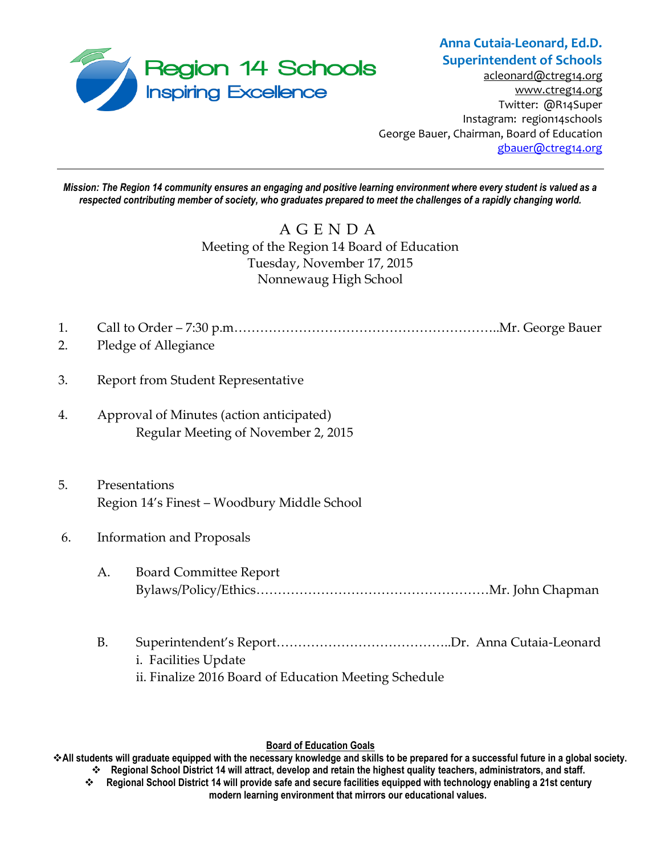

## **Anna Cutaia-Leonard, Ed.D. Superintendent of Schools**

[acleonard@ctreg14.org](mailto:acleonard@ctreg14.org) [www.ctreg14.org](http://www.ctreg14.org/) Twitter: @R14Super Instagram: region14schools George Bauer, Chairman, Board of Education [gbauer@ctreg14.org](mailto:gbauer@ctreg14.org)

*Mission: The Region 14 community ensures an engaging and positive learning environment where every student is valued as a respected contributing member of society, who graduates prepared to meet the challenges of a rapidly changing world.*

# A G E N D A Meeting of the Region 14 Board of Education Tuesday, November 17, 2015 Nonnewaug High School

- 1. Call to Order 7:30 p.m……………………………………………………..Mr. George Bauer
- 2. Pledge of Allegiance
- 3. Report from Student Representative
- 4. Approval of Minutes (action anticipated) Regular Meeting of November 2, 2015
- 5. Presentations Region 14's Finest – Woodbury Middle School
- 6. Information and Proposals
	- A. Board Committee Report Bylaws/Policy/Ethics………………………………………………Mr. John Chapman
	- B. Superintendent's Report…………………………………..Dr. Anna Cutaia-Leonard i. Facilities Update ii. Finalize 2016 Board of Education Meeting Schedule

#### **Board of Education Goals**

**All students will graduate equipped with the necessary knowledge and skills to be prepared for a successful future in a global society. Regional School District 14 will attract, develop and retain the highest quality teachers, administrators, and staff.**

 **Regional School District 14 will provide safe and secure facilities equipped with technology enabling a 21st century modern learning environment that mirrors our educational values.**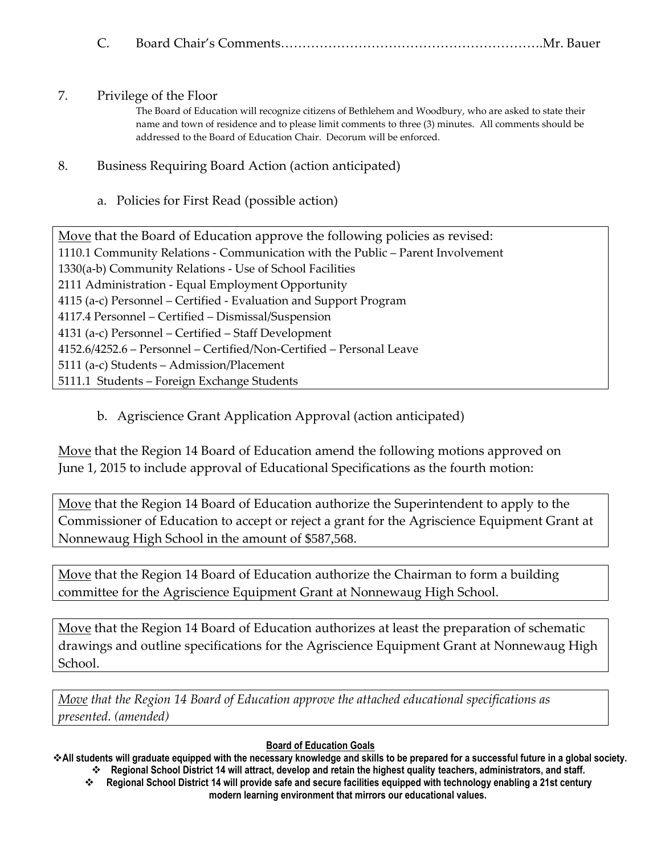|--|--|--|--|

#### 7. Privilege of the Floor

The Board of Education will recognize citizens of Bethlehem and Woodbury, who are asked to state their name and town of residence and to please limit comments to three (3) minutes. All comments should be addressed to the Board of Education Chair. Decorum will be enforced.

## 8. Business Requiring Board Action (action anticipated)

## a. Policies for First Read (possible action)

Move that the Board of Education approve the following policies as revised: 1110.1 Community Relations - Communication with the Public – Parent Involvement 1330(a-b) Community Relations - Use of School Facilities 2111 Administration - Equal Employment Opportunity 4115 (a-c) Personnel – Certified - Evaluation and Support Program 4117.4 Personnel – Certified – Dismissal/Suspension 4131 (a-c) Personnel – Certified – Staff Development 4152.6/4252.6 – Personnel – Certified/Non-Certified – Personal Leave 5111 (a-c) Students – Admission/Placement 5111.1 Students – Foreign Exchange Students

# b. Agriscience Grant Application Approval (action anticipated)

Move that the Region 14 Board of Education amend the following motions approved on June 1, 2015 to include approval of Educational Specifications as the fourth motion:

Move that the Region 14 Board of Education authorize the Superintendent to apply to the Commissioner of Education to accept or reject a grant for the Agriscience Equipment Grant at Nonnewaug High School in the amount of \$587,568.

Move that the Region 14 Board of Education authorize the Chairman to form a building committee for the Agriscience Equipment Grant at Nonnewaug High School.

Move that the Region 14 Board of Education authorizes at least the preparation of schematic drawings and outline specifications for the Agriscience Equipment Grant at Nonnewaug High School.

*Move that the Region 14 Board of Education approve the attached educational specifications as presented. (amended)*

#### **Board of Education Goals**

**All students will graduate equipped with the necessary knowledge and skills to be prepared for a successful future in a global society. Regional School District 14 will attract, develop and retain the highest quality teachers, administrators, and staff.**

 **Regional School District 14 will provide safe and secure facilities equipped with technology enabling a 21st century modern learning environment that mirrors our educational values.**